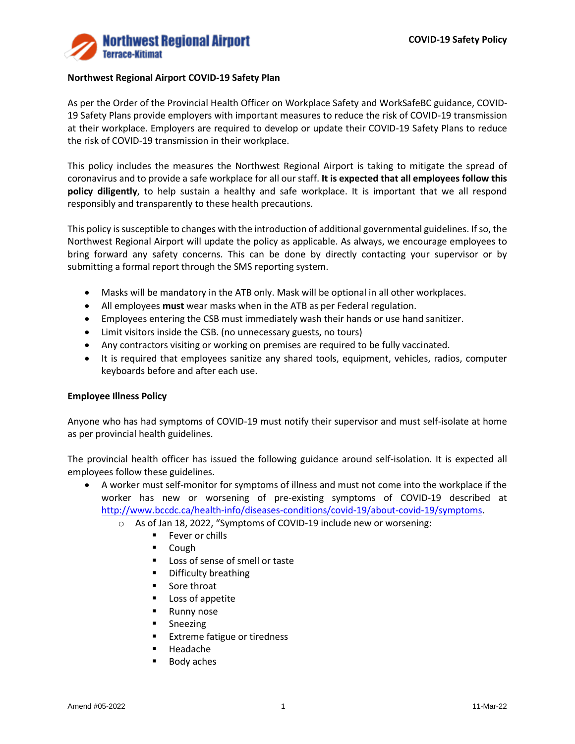

## **Northwest Regional Airport COVID-19 Safety Plan**

As per the Order of the Provincial Health Officer on Workplace Safety and WorkSafeBC guidance, COVID-19 Safety Plans provide employers with important measures to reduce the risk of COVID-19 transmission at their workplace. Employers are required to develop or update their COVID-19 Safety Plans to reduce the risk of COVID-19 transmission in their workplace.

This policy includes the measures the Northwest Regional Airport is taking to mitigate the spread of coronavirus and to provide a safe workplace for all our staff. **It is expected that all employees follow this policy diligently**, to help sustain a healthy and safe workplace. It is important that we all respond responsibly and transparently to these health precautions.

This policy is susceptible to changes with the introduction of additional governmental guidelines. If so, the Northwest Regional Airport will update the policy as applicable. As always, we encourage employees to bring forward any safety concerns. This can be done by directly contacting your supervisor or by submitting a formal report through the SMS reporting system.

- Masks will be mandatory in the ATB only. Mask will be optional in all other workplaces.
- All employees **must** wear masks when in the ATB as per Federal regulation.
- Employees entering the CSB must immediately wash their hands or use hand sanitizer.
- Limit visitors inside the CSB. (no unnecessary guests, no tours)
- Any contractors visiting or working on premises are required to be fully vaccinated.
- It is required that employees sanitize any shared tools, equipment, vehicles, radios, computer keyboards before and after each use.

## **Employee Illness Policy**

Anyone who has had symptoms of COVID-19 must notify their supervisor and must self-isolate at home as per provincial health guidelines.

The provincial health officer has issued the following guidance around self-isolation. It is expected all employees follow these guidelines.

• A worker must self-monitor for symptoms of illness and must not come into the workplace if the worker has new or worsening of pre-existing symptoms of COVID-19 described at [http://www.bccdc.ca/health-info/diseases-conditions/covid-19/about-covid-19/symptoms.](http://www.bccdc.ca/health-info/diseases-conditions/covid-19/about-covid-19/symptoms)

- o As of Jan 18, 2022, "Symptoms of COVID-19 include new or worsening:
	- Fever or chills
	- Cough
	- Loss of sense of smell or taste
	- Difficulty breathing
	- Sore throat
	- Loss of appetite
	- Runny nose
	- Sneezing
	- Extreme fatigue or tiredness
	- Headache
	- Body aches